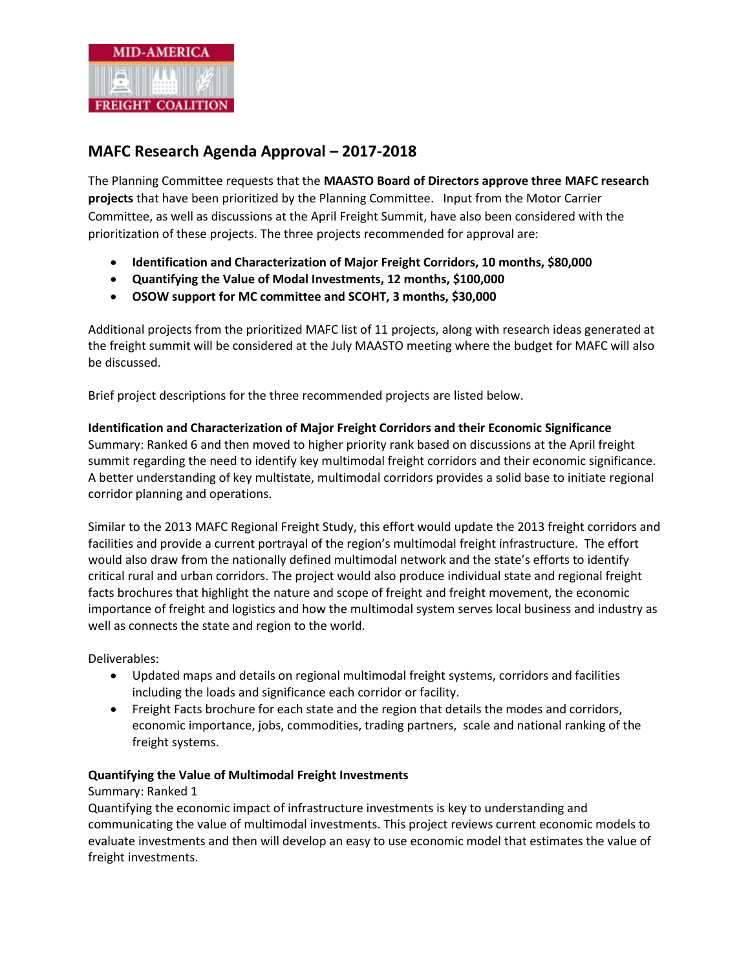

# **MAFC Research Agenda Approval – 2017-2018**

The Planning Committee requests that the **MAASTO Board of Directors approve three MAFC research projects** that have been prioritized by the Planning Committee. Input from the Motor Carrier Committee, as well as discussions at the April Freight Summit, have also been considered with the prioritization of these projects. The three projects recommended for approval are:

- **Identification and Characterization of Major Freight Corridors, 10 months, \$80,000**
- **Quantifying the Value of Modal Investments, 12 months, \$100,000**
- **OSOW support for MC committee and SCOHT, 3 months, \$30,000**

Additional projects from the prioritized MAFC list of 11 projects, along with research ideas generated at the freight summit will be considered at the July MAASTO meeting where the budget for MAFC will also be discussed.

Brief project descriptions for the three recommended projects are listed below.

## **Identification and Characterization of Major Freight Corridors and their Economic Significance** Summary: Ranked 6 and then moved to higher priority rank based on discussions at the April freight summit regarding the need to identify key multimodal freight corridors and their economic significance. A better understanding of key multistate, multimodal corridors provides a solid base to initiate regional corridor planning and operations.

Similar to the 2013 MAFC Regional Freight Study, this effort would update the 2013 freight corridors and facilities and provide a current portrayal of the region's multimodal freight infrastructure. The effort would also draw from the nationally defined multimodal network and the state's efforts to identify critical rural and urban corridors. The project would also produce individual state and regional freight facts brochures that highlight the nature and scope of freight and freight movement, the economic importance of freight and logistics and how the multimodal system serves local business and industry as well as connects the state and region to the world.

Deliverables:

- Updated maps and details on regional multimodal freight systems, corridors and facilities including the loads and significance each corridor or facility.
- Freight Facts brochure for each state and the region that details the modes and corridors, economic importance, jobs, commodities, trading partners, scale and national ranking of the freight systems.

#### **Quantifying the Value of Multimodal Freight Investments**

#### Summary: Ranked 1

Quantifying the economic impact of infrastructure investments is key to understanding and communicating the value of multimodal investments. This project reviews current economic models to evaluate investments and then will develop an easy to use economic model that estimates the value of freight investments.